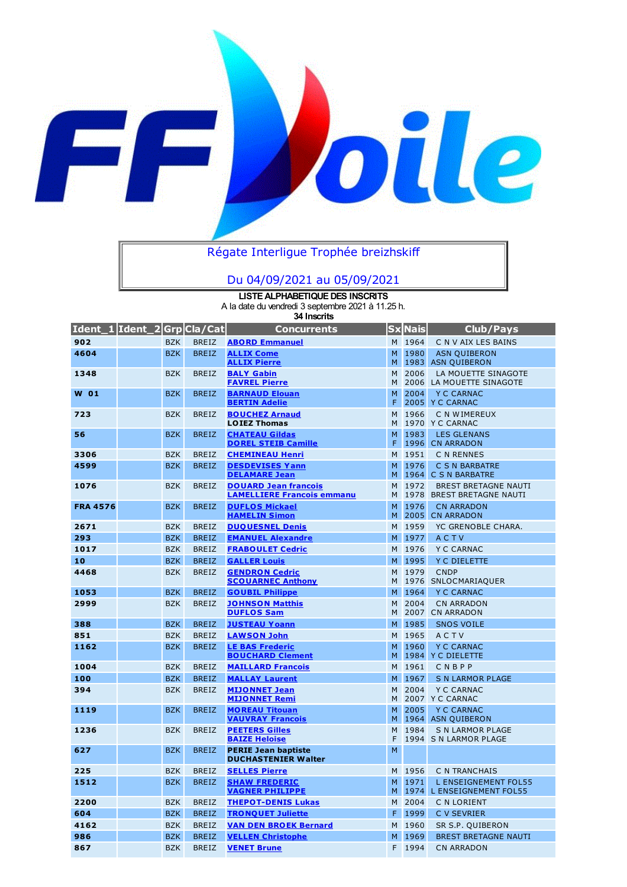

## Régate Interligue Trophée breizhskiff

## Du 04/09/2021 au 05/09/2021

**LISTE ALPHABETIQUE DES INSCRITS** A la date du vendredi 3 septembre 2021 à 11.25 h. **34 Inscrits**

| Ident_1 Ident_2 Grp Cla/Cat |            |              | Concurrents                                                      |        | <b>Sx</b> Nais | Club/Pays                                                  |
|-----------------------------|------------|--------------|------------------------------------------------------------------|--------|----------------|------------------------------------------------------------|
| 902                         | <b>BZK</b> | <b>BREIZ</b> | <b>ABORD Emmanuel</b>                                            | M      | 1964           | C N V AIX LES BAINS                                        |
| 4604                        | <b>BZK</b> | <b>BREIZ</b> | <b>ALLIX Come</b><br><b>ALLIX Pierre</b>                         | M<br>M | 1980<br>1983   | <b>ASN QUIBERON</b><br><b>ASN QUIBERON</b>                 |
| 1348                        | <b>BZK</b> | <b>BREIZ</b> | <b>BALY Gabin</b><br><b>FAVREL Pierre</b>                        | M<br>M | 2006           | LA MOUETTE SINAGOTE<br>2006 LA MOUETTE SINAGOTE            |
| <b>W</b> 01                 | <b>BZK</b> | <b>BREIZ</b> | <b>BARNAUD Elouan</b><br><b>BERTIN Adelie</b>                    | M<br>F | 2004<br>2005   | <b>Y C CARNAC</b><br>Y C CARNAC                            |
| 723                         | <b>BZK</b> | <b>BREIZ</b> | <b>BOUCHEZ Arnaud</b><br><b>LOIEZ Thomas</b>                     | M<br>M | 1966           | C N WIMEREUX<br>1970 Y C CARNAC                            |
| 56                          | <b>BZK</b> | <b>BREIZ</b> | <b>CHATEAU Gildas</b><br><b>DOREL STEIB Camille</b>              | M<br>F | 1983<br>1996   | <b>LES GLENANS</b><br><b>CN ARRADON</b>                    |
| 3306                        | <b>BZK</b> | <b>BREIZ</b> | <b>CHEMINEAU Henri</b>                                           | M      | 1951           | C N RENNES                                                 |
| 4599                        | <b>BZK</b> | <b>BREIZ</b> | <b>DESDEVISES Yann</b><br><b>DELAMARE Jean</b>                   | M<br>M | 1976<br>1964   | C S N BARBATRE<br>C S N BARBATRE                           |
| 1076                        | <b>BZK</b> | <b>BREIZ</b> | <b>DOUARD Jean francois</b><br><b>LAMELLIERE Francois emmanu</b> | M<br>M | 1972<br>1978   | <b>BREST BRETAGNE NAUTI</b><br><b>BREST BRETAGNE NAUTI</b> |
| <b>FRA 4576</b>             | <b>BZK</b> | <b>BREIZ</b> | <b>DUFLOS Mickael</b><br><b>HAMELIN Simon</b>                    | M<br>M | 1976<br>2005   | <b>CN ARRADON</b><br><b>CN ARRADON</b>                     |
| 2671                        | <b>BZK</b> | <b>BREIZ</b> | <b>DUQUESNEL Denis</b>                                           | M      | 1959           | YC GRENOBLE CHARA.                                         |
| 293                         | <b>BZK</b> | <b>BREIZ</b> | <b>EMANUEL Alexandre</b>                                         | M      | 1977           | <b>ACTV</b>                                                |
| 1017                        | <b>BZK</b> | <b>BREIZ</b> | <b>FRABOULET Cedric</b>                                          | M      | 1976           | <b>Y C CARNAC</b>                                          |
| 10                          | <b>BZK</b> | <b>BREIZ</b> | <b>GALLER Louis</b>                                              | M      | 1995           | Y C DIELETTE                                               |
| 4468                        | <b>BZK</b> | <b>BREIZ</b> | <b>GENDRON Cedric</b><br><b>SCOUARNEC Anthony</b>                | M<br>M | 1979<br>1976   | <b>CNDP</b><br>SNLOCMARIAQUER                              |
| 1053                        | <b>BZK</b> | <b>BREIZ</b> | <b>GOUBIL Philippe</b>                                           | M      | 1964           | <b>Y C CARNAC</b>                                          |
| 2999                        | <b>BZK</b> | <b>BREIZ</b> | <b>JOHNSON Matthis</b><br><b>DUFLOS Sam</b>                      | M<br>M | 2004<br>2007   | <b>CN ARRADON</b><br><b>CN ARRADON</b>                     |
| 388                         | <b>BZK</b> | <b>BREIZ</b> | <b>JUSTEAU Yoann</b>                                             | M      | 1985           | <b>SNOS VOILE</b>                                          |
| 851                         | <b>BZK</b> | <b>BREIZ</b> | <b>LAWSON John</b>                                               | M      | 1965           | ACTV                                                       |
| 1162                        | <b>BZK</b> | <b>BREIZ</b> | <b>LE BAS Frederic</b><br><b>BOUCHARD Clement</b>                | M<br>M | 1960           | <b>Y C CARNAC</b><br>1984 Y C DIELETTE                     |
| 1004                        | <b>BZK</b> | <b>BREIZ</b> | <b>MAILLARD Francois</b>                                         | M      | 1961           | CNBPP                                                      |
| 100                         | <b>BZK</b> | <b>BREIZ</b> | <b>MALLAY Laurent</b>                                            | M      | 1967           | <b>S N LARMOR PLAGE</b>                                    |
| 394                         | <b>BZK</b> | <b>BREIZ</b> | <b>MIJONNET Jean</b><br><b>MIJONNET Remi</b>                     | M<br>M | 2004           | <b>Y C CARNAC</b><br>2007 Y C CARNAC                       |
| 1119                        | <b>BZK</b> | <b>BREIZ</b> | <b>MOREAU Titouan</b><br><b>VAUVRAY Francois</b>                 | M<br>M | 2005<br>1964   | <b>Y C CARNAC</b><br><b>ASN QUIBERON</b>                   |
| 1236                        | <b>BZK</b> | <b>BREIZ</b> | <b>PEETERS Gilles</b><br><b>BAIZE Heloise</b>                    | M<br>F | 1984           | <b>S N LARMOR PLAGE</b><br>1994 S N LARMOR PLAGE           |
| 627                         | <b>BZK</b> | <b>BREIZ</b> | <b>PERIE Jean baptiste</b><br><b>DUCHASTENIER Walter</b>         | M      |                |                                                            |
| 225                         | <b>BZK</b> | <b>BREIZ</b> | <b>SELLES Pierre</b>                                             | M      | 1956           | C N TRANCHAIS                                              |
| 1512                        | <b>BZK</b> | <b>BREIZ</b> | <b>SHAW FREDERIC</b><br><b>VAGNER PHILIPPE</b>                   | M<br>M | 1971           | L ENSEIGNEMENT FOL55<br>1974 L ENSEIGNEMENT FOL55          |
| 2200                        | <b>BZK</b> | <b>BREIZ</b> | <b>THEPOT-DENIS Lukas</b>                                        | M      | 2004           | C N LORIENT                                                |
| 604                         | <b>BZK</b> | <b>BREIZ</b> | <b>TRONQUET Juliette</b>                                         | F      | 1999           | C V SEVRIER                                                |
| 4162                        | <b>BZK</b> | <b>BREIZ</b> | <b>VAN DEN BROEK Bernard</b>                                     | M      | 1960           | SR S.P. QUIBERON                                           |
| 986                         | <b>BZK</b> | <b>BREIZ</b> | <b>VELLEN Christophe</b>                                         | M      | 1969           | <b>BREST BRETAGNE NAUTI</b>                                |
| 867                         | <b>BZK</b> | <b>BREIZ</b> | <b>VENET Brune</b>                                               | F      | 1994           | <b>CN ARRADON</b>                                          |